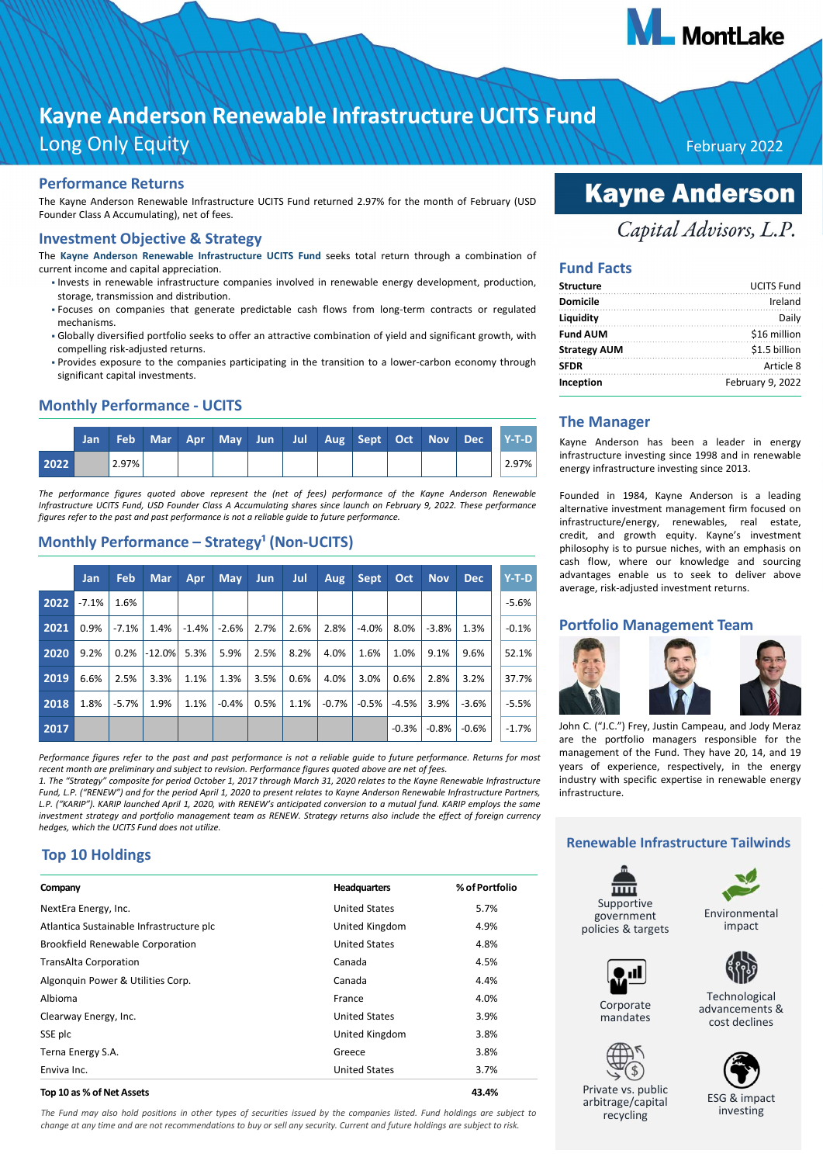

# **Kayne Anderson Renewable Infrastructure UCITS Fund**  Long Only Equity February 2022

#### **Performance Returns**

The Kayne Anderson Renewable Infrastructure UCITS Fund returned 2.97% for the month of February (USD Founder Class A Accumulating), net of fees.

#### **Investment Objective & Strategy**

The **Kayne Anderson Renewable Infrastructure UCITS Fund** seeks total return through a combination of current income and capital appreciation.

- Invests in renewable infrastructure companies involved in renewable energy development, production, storage, transmission and distribution.
- · Focuses on companies that generate predictable cash flows from long-term contracts or regulated mechanisms.
- Globally diversified portfolio seeks to offer an attractive combination of yield and significant growth, with compelling risk-adjusted returns.
- Provides exposure to the companies participating in the transition to a lowercarbon economy through significant capital investments.

#### **Monthly Performance UCITS**

|      | Jan |       |  |  |  |  |  | Feb Mar Apr May Jun Jul Aug Sept Oct Nov Dec Y-T-D |
|------|-----|-------|--|--|--|--|--|----------------------------------------------------|
| 2022 |     | 2.97% |  |  |  |  |  | $2.97\%$                                           |

*The performance figures quoted above represent the (net of fees) performance of the Kayne Anderson Renewable Infrastructure UCITS Fund, USD Founder Class A Accumulating shares since launch on February 9, 2022. These performance figures refer to the past and past performance is not a reliable guide to future performance.*

### Monthly Performance - Strategy<sup>1</sup> (Non-UCITS)

|      | <b>Jan</b> | <b>Feb</b> | <b>Mar</b> | Apr      | <b>May</b> | <b>Jun</b> | Jul  | Aug     | <b>Sept</b> | Oct     | <b>Nov</b> | <b>Dec</b> | $Y-T-D$ |
|------|------------|------------|------------|----------|------------|------------|------|---------|-------------|---------|------------|------------|---------|
| 2022 | $-7.1\%$   | 1.6%       |            |          |            |            |      |         |             |         |            |            | $-5.6%$ |
| 2021 | 0.9%       | $-7.1%$    | 1.4%       | $-1.4\%$ | $-2.6%$    | 2.7%       | 2.6% | 2.8%    | $-4.0%$     | 8.0%    | $-3.8%$    | 1.3%       | $-0.1%$ |
| 2020 | 9.2%       | 0.2%       | $-12.0%$   | 5.3%     | 5.9%       | 2.5%       | 8.2% | 4.0%    | 1.6%        | 1.0%    | 9.1%       | 9.6%       | 52.1%   |
| 2019 | 6.6%       | 2.5%       | 3.3%       | 1.1%     | 1.3%       | 3.5%       | 0.6% | 4.0%    | 3.0%        | 0.6%    | 2.8%       | 3.2%       | 37.7%   |
| 2018 | 1.8%       | $-5.7%$    | 1.9%       | 1.1%     | $-0.4%$    | 0.5%       | 1.1% | $-0.7%$ | $-0.5%$     | $-4.5%$ | 3.9%       | $-3.6%$    | $-5.5%$ |
| 2017 |            |            |            |          |            |            |      |         |             | $-0.3%$ | $-0.8%$    | $-0.6%$    | $-1.7%$ |

*Performance figures refer to the past and past performance is not a reliable guide to future performance. Returns for most recent month are preliminary and subject to revision. Performance figures quoted above are net of fees.*

*1. The "Strategy" composite for period October 1, 2017 through March 31, 2020 relates to the Kayne Renewable Infrastructure Fund, L.P. ("RENEW") and for the period April 1, 2020 to present relates to Kayne Anderson Renewable Infrastructure Partners, L.P. ("KARIP"). KARIP launched April 1, 2020, with RENEW's anticipated conversion to a mutual fund. KARIP employs the same investment strategy and portfolio management team as RENEW. Strategy returns also include the effect of foreign currency hedges, which the UCITS Fund does not utilize.*

### **Top 10 Holdings**

| Company                                  | <b>Headquarters</b>  | % of Portfolio |
|------------------------------------------|----------------------|----------------|
| NextEra Energy, Inc.                     | <b>United States</b> | 5.7%           |
| Atlantica Sustainable Infrastructure plc | United Kingdom       | 4.9%           |
| <b>Brookfield Renewable Corporation</b>  | <b>United States</b> | 4.8%           |
| <b>TransAlta Corporation</b>             | Canada               | 4.5%           |
| Algonquin Power & Utilities Corp.        | Canada               | 4.4%           |
| Albioma                                  | France               | 4.0%           |
| Clearway Energy, Inc.                    | <b>United States</b> | 3.9%           |
| SSE plc                                  | United Kingdom       | 3.8%           |
| Terna Energy S.A.                        | Greece               | 3.8%           |
| Enviva Inc.                              | <b>United States</b> | 3.7%           |

#### **Top 10 as % of Net Assets 43.4%**

*The Fund may also hold positions in other types of securities issued by the companies listed. Fund holdings are subject to change at any time and are not recommendations to buy or sell any security. Current and future holdings are subject to risk.*

# **Kayne Anderson**

## Capital Advisors, L.P.

#### **Fund Facts**

| <b>Structure</b>    | <b>UCITS Fund</b> |
|---------------------|-------------------|
| <b>Domicile</b>     | Ireland           |
| Liquidity           | Daily             |
| <b>Fund AUM</b>     | \$16 million      |
| <b>Strategy AUM</b> | \$1.5 billion     |
| <b>SFDR</b>         | Article 8         |
| Inception           | February 9, 2022  |

### **The Manager**

Kayne Anderson has been a leader in energy infrastructure investing since 1998 and in renewable energy infrastructure investing since 2013.

Founded in 1984, Kayne Anderson is a leading alternative investment management firm focused on infrastructure/energy, renewables, real estate, credit, and growth equity. Kayne's investment philosophy is to pursue niches, with an emphasis on cash flow, where our knowledge and sourcing advantages enable us to seek to deliver above average, risk-adjusted investment returns.

#### **Portfolio Management Team**



John C. ("J.C.") Frey, Justin Campeau, and Jody Meraz are the portfolio managers responsible for the management of the Fund. They have 20, 14, and 19 years of experience, respectively, in the energy industry with specific expertise in renewable energy infrastructure.

#### **Renewable Infrastructure Tailwinds**

Supportive government policies & targets

> Corporate mandates



Environmental impact



Technological advancements & cost declines



Private vs. public arbitrage/capital recycling

ESG & impact

investing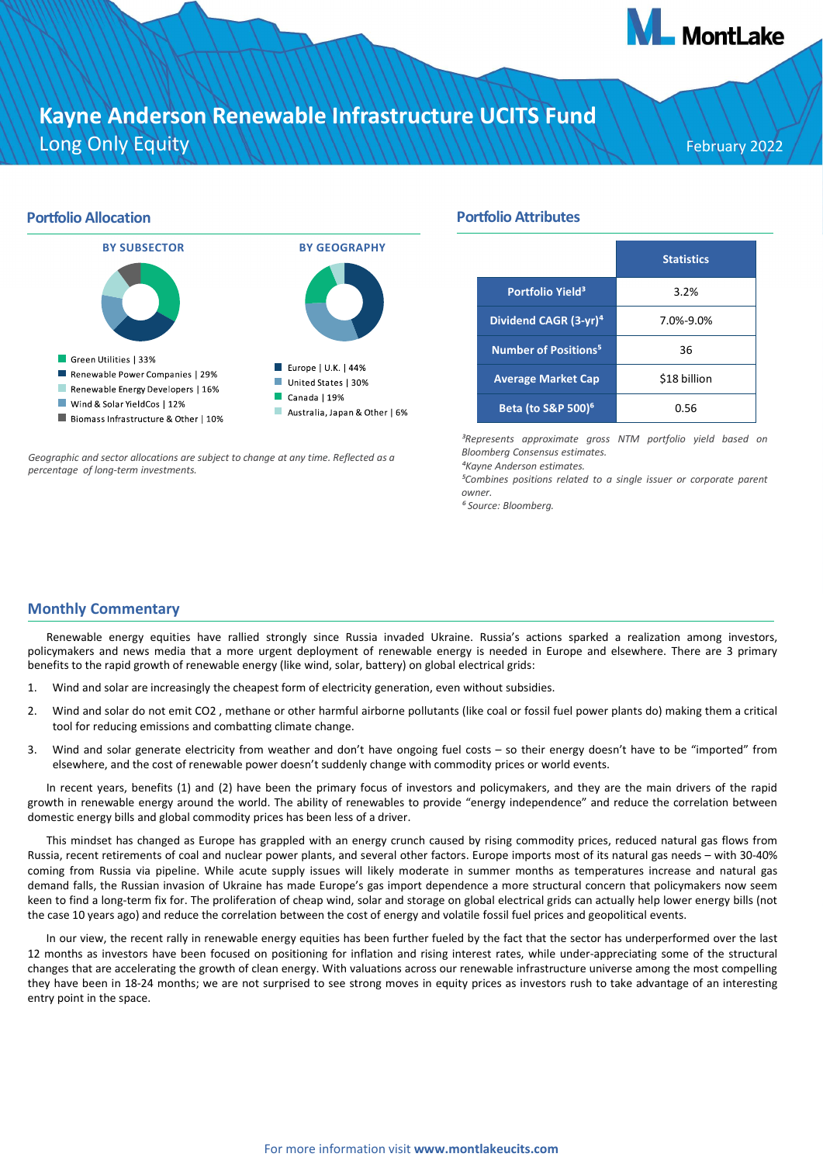# **Kayne Anderson Renewable Infrastructure UCITS Fund**  Long Only Equity February 2022

**A** MontLake

## **Portfolio Allocation BY SUBSECTOR BY GEOGRAPHY** Green Utilities | 33% Europe | U.K. | 44% Renewable Power Companies | 29% United States | 30% Renewable Energy Developers | 16%  $\Box$  Canada | 19% Wind & Solar YieldCos | 12% Australia, Japan & Other | 6% Biomass Infrastructure & Other | 10%

*Geographic and sector allocations are subject to change at any time. Reflected as a percentage of longterm investments.*

### **Portfolio Attributes**

|                                          | <b>Statistics</b> |
|------------------------------------------|-------------------|
| Portfolio Yield <sup>3</sup>             | 3.2%              |
| Dividend CAGR (3-yr) <sup>4</sup>        | 7.0%-9.0%         |
| Number of Positions <sup>5</sup>         | 36                |
| <b>Average Market Cap</b>                | \$18 billion      |
| <b>Beta (to S&amp;P 500)<sup>6</sup></b> | 0.56              |

*³Represents approximate gross NTM portfolio yield based on Bloomberg Consensus estimates.*

*⁴Kayne Anderson estimates.*

*⁵Combines positions related to a single issuer or corporate parent owner.*

*⁶ Source: Bloomberg.*

### **Monthly Commentary**

Renewable energy equities have rallied strongly since Russia invaded Ukraine. Russia's actions sparked a realization among investors, policymakers and news media that a more urgent deployment of renewable energy is needed in Europe and elsewhere. There are 3 primary benefits to the rapid growth of renewable energy (like wind, solar, battery) on global electrical grids:

- 1. Wind and solar are increasingly the cheapest form of electricity generation, even without subsidies.
- 2. Wind and solar do not emit CO2 , methane or other harmful airborne pollutants (like coal or fossil fuel power plants do) making them a critical tool for reducing emissions and combatting climate change.
- 3. Wind and solar generate electricity from weather and don't have ongoing fuel costs so their energy doesn't have to be "imported" from elsewhere, and the cost of renewable power doesn't suddenly change with commodity prices or world events.

In recent years, benefits (1) and (2) have been the primary focus of investors and policymakers, and they are the main drivers of the rapid growth in renewable energy around the world. The ability of renewables to provide "energy independence" and reduce the correlation between domestic energy bills and global commodity prices has been less of a driver.

This mindset has changed as Europe has grappled with an energy crunch caused by rising commodity prices, reduced natural gas flows from Russia, recent retirements of coal and nuclear power plants, and several other factors. Europe imports most of its natural gas needs – with 3040% coming from Russia via pipeline. While acute supply issues will likely moderate in summer months as temperatures increase and natural gas demand falls, the Russian invasion of Ukraine has made Europe's gas import dependence a more structural concern that policymakers now seem keen to find a long-term fix for. The proliferation of cheap wind, solar and storage on global electrical grids can actually help lower energy bills (not the case 10 years ago) and reduce the correlation between the cost of energy and volatile fossil fuel prices and geopolitical events.

In our view, the recent rally in renewable energy equities has been further fueled by the fact that the sector has underperformed over the last 12 months as investors have been focused on positioning for inflation and rising interest rates, while under-appreciating some of the structural changes that are accelerating the growth of clean energy. With valuations across our renewable infrastructure universe among the most compelling they have been in 1824 months; we are not surprised to see strong moves in equity prices as investors rush to take advantage of an interesting entry point in the space.